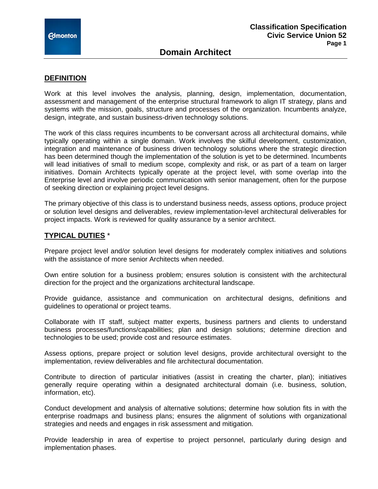#### **DEFINITION**

Work at this level involves the analysis, planning, design, implementation, documentation, assessment and management of the enterprise structural framework to align IT strategy, plans and systems with the mission, goals, structure and processes of the organization. Incumbents analyze, design, integrate, and sustain business-driven technology solutions.

The work of this class requires incumbents to be conversant across all architectural domains, while typically operating within a single domain. Work involves the skilful development, customization, integration and maintenance of business driven technology solutions where the strategic direction has been determined though the implementation of the solution is yet to be determined. Incumbents will lead initiatives of small to medium scope, complexity and risk, or as part of a team on larger initiatives. Domain Architects typically operate at the project level, with some overlap into the Enterprise level and involve periodic communication with senior management, often for the purpose of seeking direction or explaining project level designs.

The primary objective of this class is to understand business needs, assess options, produce project or solution level designs and deliverables, review implementation-level architectural deliverables for project impacts. Work is reviewed for quality assurance by a senior architect.

## **TYPICAL DUTIES** \*

Prepare project level and/or solution level designs for moderately complex initiatives and solutions with the assistance of more senior Architects when needed.

Own entire solution for a business problem; ensures solution is consistent with the architectural direction for the project and the organizations architectural landscape.

Provide guidance, assistance and communication on architectural designs, definitions and guidelines to operational or project teams.

Collaborate with IT staff, subject matter experts, business partners and clients to understand business processes/functions/capabilities; plan and design solutions; determine direction and technologies to be used; provide cost and resource estimates.

Assess options, prepare project or solution level designs, provide architectural oversight to the implementation, review deliverables and file architectural documentation.

Contribute to direction of particular initiatives (assist in creating the charter, plan); initiatives generally require operating within a designated architectural domain (i.e. business, solution, information, etc).

Conduct development and analysis of alternative solutions; determine how solution fits in with the enterprise roadmaps and business plans; ensures the alignment of solutions with organizational strategies and needs and engages in risk assessment and mitigation.

Provide leadership in area of expertise to project personnel, particularly during design and implementation phases.